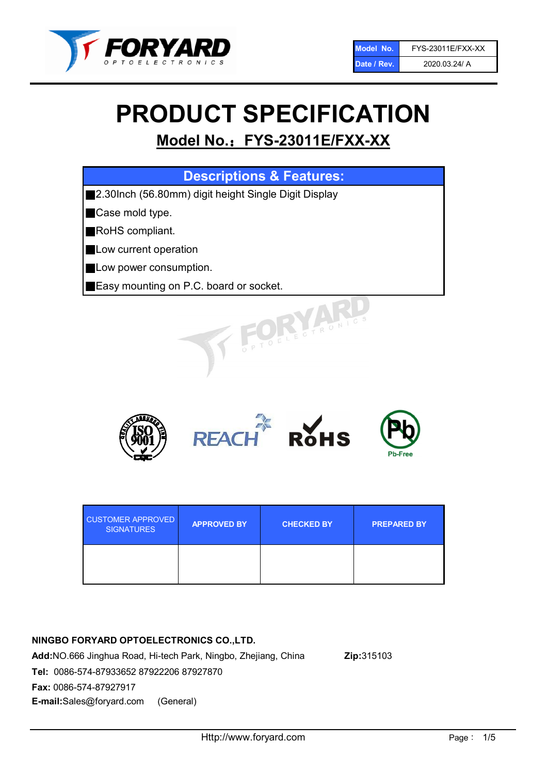

# PRODUCT SPECIFICATION

# Model No.: FYS-23011E/FXX-XX

| <b>Descriptions &amp; Features:</b>                       |
|-----------------------------------------------------------|
| 2.30Inch (56.80mm) digit height Single Digit Display<br>Ш |
| Case mold type.                                           |
| RoHS compliant.                                           |
| Low current operation<br>Ш                                |
| Low power consumption.                                    |
| <b>Easy mounting on P.C. board or socket.</b>             |
| OELECTRONIC.                                              |



| <b>CUSTOMER APPROVED</b><br><b>SIGNATURES</b> | <b>APPROVED BY</b> | <b>CHECKED BY</b> | <b>PREPARED BY</b> |
|-----------------------------------------------|--------------------|-------------------|--------------------|
|                                               |                    |                   |                    |

# NINGBO FORYARD OPTOELECTRONICS CO.,LTD.

Add:NO.666 Jinghua Road, Hi-tech Park, Ningbo, Zhejiang, China Zip:315103 Tel: 0086-574-87933652 87922206 87927870 Fax: 0086-574-87927917 E-mail:Sales@foryard.com (General)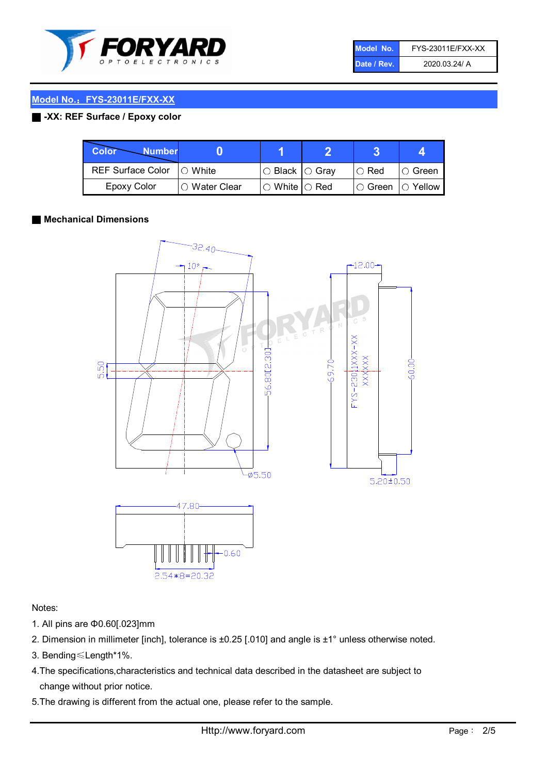

| Model No.   | FYS-23011E/FXX-XX |
|-------------|-------------------|
| Date / Rev. | 2020.03.24/ A     |

# Model No.: FYS-23011E/FXX-XX

# ■ -XX: REF Surface / Epoxy color

| Color<br><b>Number</b>   |                        |                                                   |               |                   |
|--------------------------|------------------------|---------------------------------------------------|---------------|-------------------|
| <b>REF Surface Color</b> | $\bigcap$ White        | ○ Black  ○ Gray                                   | $\circ$ Red   | $\circ$ Green     |
| Epoxy Color              | $\bigcirc$ Water Clear | $\mathbin{\varcap}$ White $\mathbin{\varcap}$ Red | $\circ$ Green | $\bigcirc$ Yellow |

#### ■ Mechanical Dimensions



#### Notes:

- 1. All pins are Φ0.60[.023]mm
- 2. Dimension in millimeter [inch], tolerance is ±0.25 [.010] and angle is ±1° unless otherwise noted.
- 3. Bending≤Length\*1%.
- 4.The specifications,characteristics and technical data described in the datasheet are subject to change without prior notice.
- 5.The drawing is different from the actual one, please refer to the sample.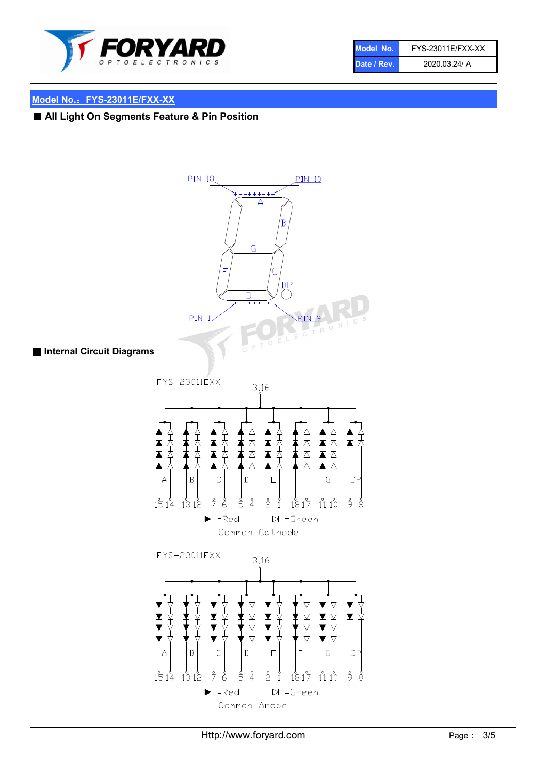

| Model No.   | FYS-23011E/FXX-XX |
|-------------|-------------------|
| Date / Rev. | 2020.03.24/ A     |

# Model No.: FYS-23011E/FXX-XX

■ All Light On Segments Feature & Pin Position



#### ■ Internal Circuit Diagrams

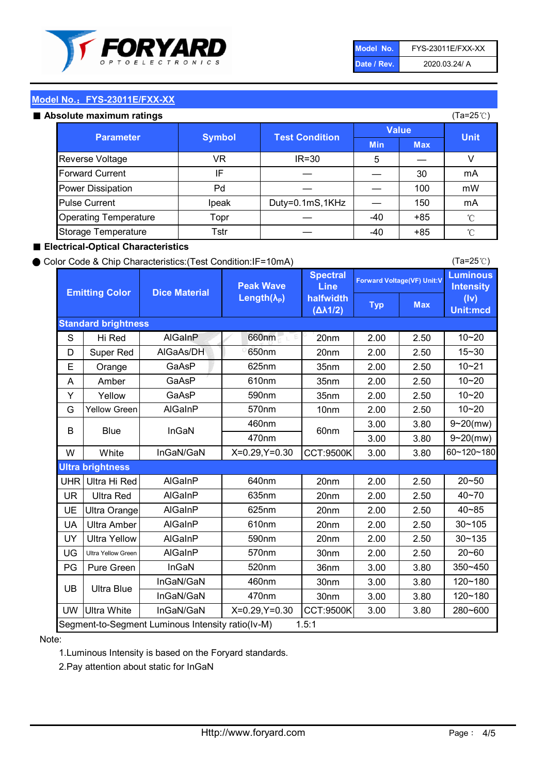

| Model No.   | FYS-23011E/FXX-XX |
|-------------|-------------------|
| Date / Rev. | 2020.03.24/ A     |

(Ta=25℃)

# Model No.: FYS-23011E/FXX-XX

#### Absolute maximum ratings

| solute maximum ratings       |               |                       |              |            | (Ta=25℃)    |
|------------------------------|---------------|-----------------------|--------------|------------|-------------|
| <b>Parameter</b>             | <b>Symbol</b> | <b>Test Condition</b> | <b>Value</b> |            |             |
|                              |               |                       | <b>Min</b>   | <b>Max</b> | <b>Unit</b> |
| Reverse Voltage              | VR            | $IR = 30$             | 5            |            |             |
| <b>Forward Current</b>       | ΙF            |                       |              | 30         | mA          |
| Power Dissipation            | Pd            |                       |              | 100        | mW          |
| <b>Pulse Current</b>         | Ipeak         | Duty=0.1mS,1KHz       |              | 150        | mA          |
| <b>Operating Temperature</b> | Topr          |                       | $-40$        | $+85$      | °C          |
| Storage Temperature          | Tstr          |                       | $-40$        | $+85$      | °C          |

#### ■ Electrical-Optical Characteristics

#### ● Color Code & Chip Characteristics:(Test Condition:IF=10mA)

Typ Max S | Hi $\textsf{Red}$  | AlGaInP | 660nm LE 20nm | 2.00 | 2.50 D | Super Red | AIGaAs/DH | 650nm | 20nm | 2.00 | 2.50 E | Orange | GaAsP | 625nm | 35nm | 2.00 | 2.50 A | Amber | GaAsP | 610nm | 35nm | 2.00 | 2.50 Y | Yellow | GaAsP | 590nm | 35nm | 2.00 | 2.50 G Yellow Green AIGaInP | 570nm | 10nm | 2.00 | 2.50 3.00 3.80 3.00 3.80 W | White | InGaN/GaN | X=0.29,Y=0.30 |CCT:9500K| 3.00 | 3.80 UHR Ultra Hi Red | AlGaInP | 640nm | 20nm | 2.00 | 2.50 UR | Ultra Red | AlGaInP | 635nm | 20nm | 2.00 | 2.50 UE Ultra Orange | AIGaInP | 625nm | 20nm | 2.00 | 2.50 UA Ultra Amber | AIGaInP | 610nm | 20nm | 2.00 | 2.50  $UV$  Ultra Yellow  $\vert$  AlGaInP  $\vert$  590nm  $\vert$  20nm  $\vert$  2.00  $\vert$  2.50  $\text{UG}$  Ultra Yellow Green | AIGaInP | 570nm | 30nm | 2.00 | 2.50 PG Pure Green | InGaN | 520nm | 36nm | 3.00 | 3.80 30nm 3.00 3.80 30nm 3.00 3.80 UW |Ultra White | InGaN/GaN | X=0.29,Y=0.30 |CCT:9500K| 3.00 | 3.80 10~20 Standard brightness Forward Voltage(VF) Unit:V 15~30 10~20 10~20 625nm GaAsP 590nm **Emitting Color Dice Material** 10~21 610nm Luminous **Intensity** (Iv) Unit:mcd AlGainP 660nm GaAsP GaAsP AlGaAs/DH **Spectral** Line halfwidth (∆λ1/2) Peak Wave Length $(\lambda_{\rm P})$ UB 460nm 635nm AlGaInP AlGaInP AlGaInP InGaN/GaN AlGaInP | 570nm | 10nm | 2.00 | 2.50 | 10~20 30~105 30~135 460nm 520nm Ultra brightness **AlGaInP** AlGaInP 60nm AlGaInP 640nm Segment-to-Segment Luminous Intensity ratio(Iv-M) 1.5:1 610nm 9~20(mw) 350~450 470nm 120~180 120~180 Ultra Blue InGaN/GaN InGaN/GaN 9~20(mw) 20~50 280~600 570nm | 30nm | 2.00 | 2.50 | 20~60 470nm 590nm InGaN/GaN B Blue I InGaN 40~85 60~120~180 40~70

#### Note:

1.Luminous Intensity is based on the Foryard standards.

2.Pay attention about static for InGaN